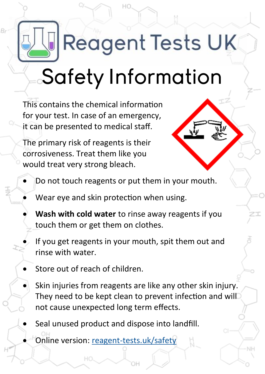## **Reagent Tests UK**

## Safety Information

This contains the chemical information for your test. In case of an emergency, it can be presented to medical staff.

The primary risk of reagents is their corrosiveness. Treat them like you would treat very strong bleach.



- Do not touch reagents or put them in your mouth.
- Wear eye and skin protection when using.
- **Wash with cold water** to rinse away reagents if you touch them or get them on clothes.
- If you get reagents in your mouth, spit them out and rinse with water.
- Store out of reach of children.
- Skin injuries from reagents are like any other skin injury. They need to be kept clean to prevent infection and will not cause unexpected long term effects.
- Seal unused product and dispose into landfill.
	- Online version: reagent-[tests.uk/safety](https://www.reagent-tests.uk/safety)